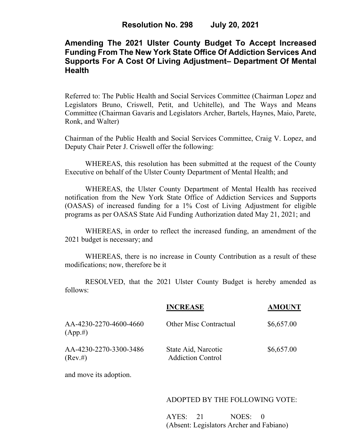# **Amending The 2021 Ulster County Budget To Accept Increased Funding From The New York State Office Of Addiction Services And Supports For A Cost Of Living Adjustment– Department Of Mental Health**

Referred to: The Public Health and Social Services Committee (Chairman Lopez and Legislators Bruno, Criswell, Petit, and Uchitelle), and The Ways and Means Committee (Chairman Gavaris and Legislators Archer, Bartels, Haynes, Maio, Parete, Ronk, and Walter)

Chairman of the Public Health and Social Services Committee, Craig V. Lopez, and Deputy Chair Peter J. Criswell offer the following:

WHEREAS, this resolution has been submitted at the request of the County Executive on behalf of the Ulster County Department of Mental Health; and

WHEREAS, the Ulster County Department of Mental Health has received notification from the New York State Office of Addiction Services and Supports (OASAS) of increased funding for a 1% Cost of Living Adjustment for eligible programs as per OASAS State Aid Funding Authorization dated May 21, 2021; and

WHEREAS, in order to reflect the increased funding, an amendment of the 2021 budget is necessary; and

WHEREAS, there is no increase in County Contribution as a result of these modifications; now, therefore be it

RESOLVED, that the 2021 Ulster County Budget is hereby amended as follows:

|                                       | <b>INCREASE</b>                                 | <b>AMOUNT</b> |
|---------------------------------------|-------------------------------------------------|---------------|
| AA-4230-2270-4600-4660<br>$(App. \#)$ | <b>Other Misc Contractual</b>                   | \$6,657.00    |
| AA-4230-2270-3300-3486<br>$(Rev. \#)$ | State Aid, Narcotic<br><b>Addiction Control</b> | \$6,657.00    |

and move its adoption.

#### ADOPTED BY THE FOLLOWING VOTE:

AYES: 21 NOES: 0 (Absent: Legislators Archer and Fabiano)